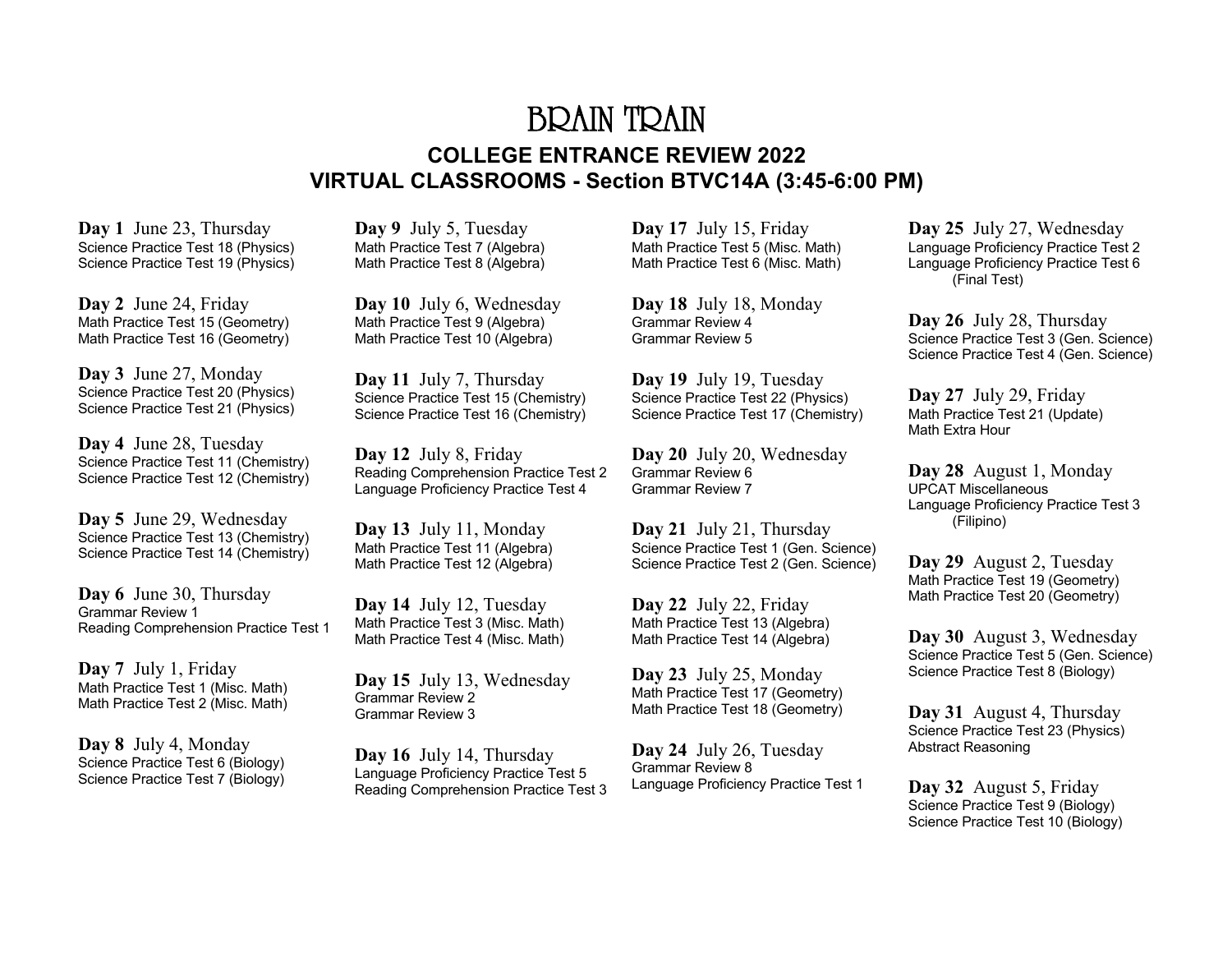# BRAIN TRAIN **COLLEGE ENTRANCE REVIEW 2022 VIRTUAL CLASSROOMS - Section BTVC14A (3:45-6:00 PM)**

**Day 1** June 23, Thursday Science Practice Test 18 (Physics) Science Practice Test 19 (Physics)

**Day 2** June 24, Friday Math Practice Test 15 (Geometry) Math Practice Test 16 (Geometry)

**Day 3** June 27, Monday Science Practice Test 20 (Physics) Science Practice Test 21 (Physics)

**Day 4** June 28, Tuesday Science Practice Test 11 (Chemistry) Science Practice Test 12 (Chemistry)

**Day 5** June 29, Wednesday Science Practice Test 13 (Chemistry) Science Practice Test 14 (Chemistry)

**Day 6** June 30, Thursday Grammar Review 1 Reading Comprehension Practice Test 1

**Day 7** July 1, Friday Math Practice Test 1 (Misc. Math) Math Practice Test 2 (Misc. Math)

**Day 8** July 4, Monday Science Practice Test 6 (Biology) Science Practice Test 7 (Biology)

**Day 9** July 5, Tuesday Math Practice Test 7 (Algebra) Math Practice Test 8 (Algebra)

**Day 10** July 6, Wednesday Math Practice Test 9 (Algebra) Math Practice Test 10 (Algebra)

**Day 11** July 7, Thursday Science Practice Test 15 (Chemistry) Science Practice Test 16 (Chemistry)

**Day 12** July 8, Friday Reading Comprehension Practice Test 2 Language Proficiency Practice Test 4

**Day 13** July 11, Monday Math Practice Test 11 (Algebra) Math Practice Test 12 (Algebra)

**Day 14** July 12, Tuesday Math Practice Test 3 (Misc. Math) Math Practice Test 4 (Misc. Math)

**Day 15** July 13, Wednesday Grammar Review 2 Grammar Review 3

**Day 16** July 14, Thursday Language Proficiency Practice Test 5 Reading Comprehension Practice Test 3 **Day 17** July 15, Friday Math Practice Test 5 (Misc. Math) Math Practice Test 6 (Misc. Math)

**Day 18** July 18, Monday Grammar Review 4 Grammar Review 5

**Day 19** July 19, Tuesday Science Practice Test 22 (Physics) Science Practice Test 17 (Chemistry)

**Day 20** July 20, Wednesday Grammar Review 6 Grammar Review 7

**Day 21** July 21, Thursday Science Practice Test 1 (Gen. Science) Science Practice Test 2 (Gen. Science)

**Day 22** July 22, Friday Math Practice Test 13 (Algebra) Math Practice Test 14 (Algebra)

**Day 23** July 25, Monday Math Practice Test 17 (Geometry) Math Practice Test 18 (Geometry)

**Day 24** July 26, Tuesday Grammar Review 8 Language Proficiency Practice Test 1 **Day 25** July 27, Wednesday Language Proficiency Practice Test 2 Language Proficiency Practice Test 6 (Final Test)

**Day 26** July 28, Thursday Science Practice Test 3 (Gen. Science) Science Practice Test 4 (Gen. Science)

**Day 27** July 29, Friday Math Practice Test 21 (Update) Math Extra Hour

**Day 28** August 1, Monday UPCAT Miscellaneous Language Proficiency Practice Test 3 (Filipino)

**Day 29** August 2, Tuesday Math Practice Test 19 (Geometry) Math Practice Test 20 (Geometry)

**Day 30** August 3, Wednesday Science Practice Test 5 (Gen. Science) Science Practice Test 8 (Biology)

**Day 31** August 4, Thursday Science Practice Test 23 (Physics) Abstract Reasoning

**Day 32** August 5, Friday Science Practice Test 9 (Biology) Science Practice Test 10 (Biology)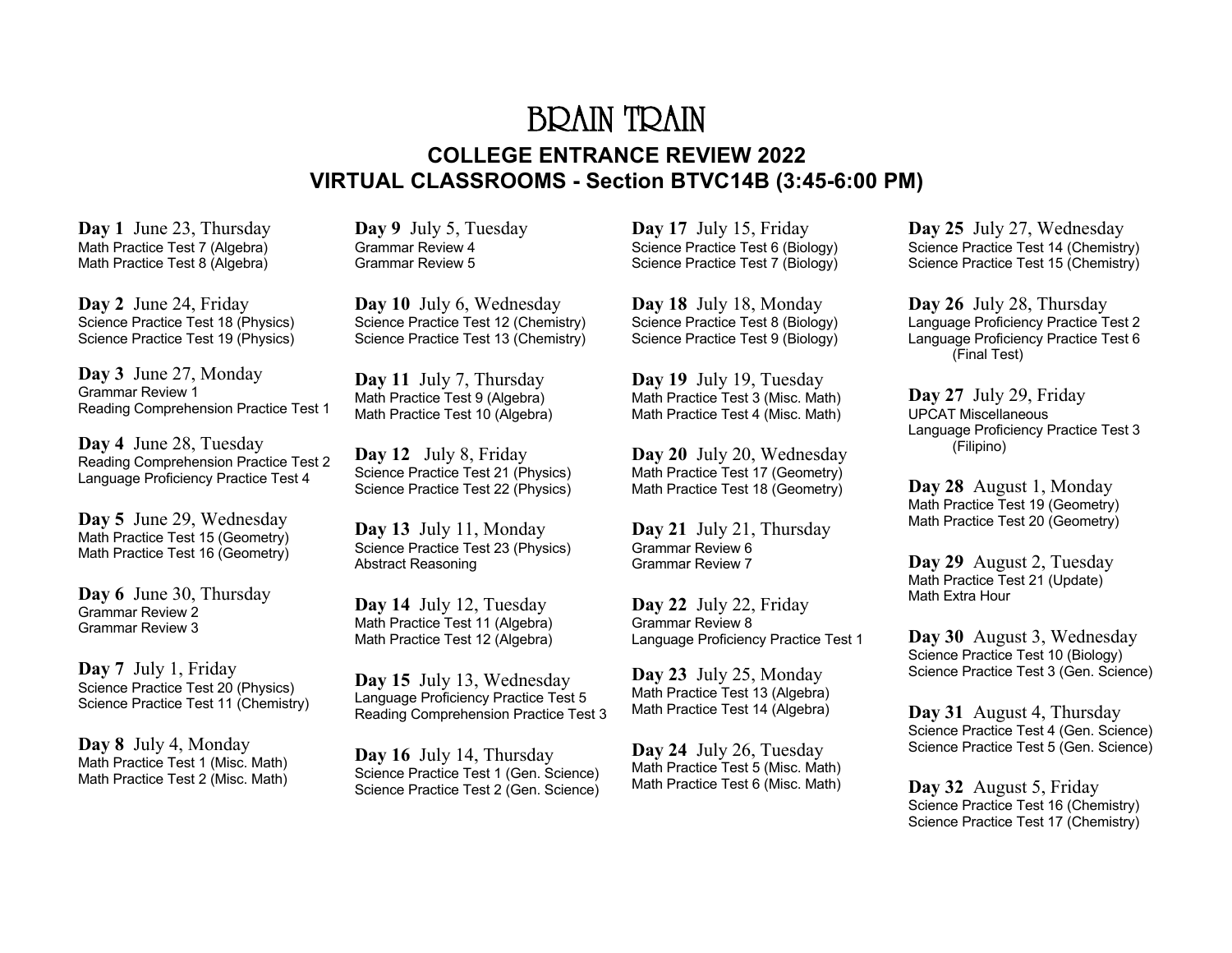# BRAIN TRAIN **COLLEGE ENTRANCE REVIEW 2022 VIRTUAL CLASSROOMS - Section BTVC14B (3:45-6:00 PM)**

**Day 1** June 23, Thursday Math Practice Test 7 (Algebra) Math Practice Test 8 (Algebra)

**Day 2** June 24, Friday Science Practice Test 18 (Physics) Science Practice Test 19 (Physics)

**Day 3** June 27, Monday Grammar Review 1 Reading Comprehension Practice Test 1

**Day 4** June 28, Tuesday Reading Comprehension Practice Test 2 Language Proficiency Practice Test 4

**Day 5** June 29, Wednesday Math Practice Test 15 (Geometry) Math Practice Test 16 (Geometry)

**Day 6** June 30, Thursday Grammar Review 2 Grammar Review 3

**Day 7** July 1, Friday Science Practice Test 20 (Physics) Science Practice Test 11 (Chemistry)

**Day 8** July 4, Monday Math Practice Test 1 (Misc. Math) Math Practice Test 2 (Misc. Math) **Day 9** July 5, Tuesday Grammar Review 4 Grammar Review 5

**Day 10** July 6, Wednesday Science Practice Test 12 (Chemistry) Science Practice Test 13 (Chemistry)

**Day 11** July 7, Thursday Math Practice Test 9 (Algebra) Math Practice Test 10 (Algebra)

**Day 12** July 8, Friday Science Practice Test 21 (Physics) Science Practice Test 22 (Physics)

**Day 13** July 11, Monday Science Practice Test 23 (Physics) Abstract Reasoning

**Day 14** July 12, Tuesday Math Practice Test 11 (Algebra) Math Practice Test 12 (Algebra)

**Day 15** July 13, Wednesday Language Proficiency Practice Test 5 Reading Comprehension Practice Test 3

**Day 16** July 14, Thursday Science Practice Test 1 (Gen. Science) Science Practice Test 2 (Gen. Science)

**Day 17** July 15, Friday Science Practice Test 6 (Biology) Science Practice Test 7 (Biology)

**Day 18** July 18, Monday Science Practice Test 8 (Biology) Science Practice Test 9 (Biology)

**Day 19** July 19, Tuesday Math Practice Test 3 (Misc. Math) Math Practice Test 4 (Misc. Math)

**Day 20** July 20, Wednesday Math Practice Test 17 (Geometry) Math Practice Test 18 (Geometry)

**Day 21** July 21, Thursday Grammar Review 6 Grammar Review 7

**Day 22** July 22, Friday Grammar Review 8 Language Proficiency Practice Test 1

**Day 23** July 25, Monday Math Practice Test 13 (Algebra) Math Practice Test 14 (Algebra)

**Day 24** July 26, Tuesday Math Practice Test 5 (Misc. Math) Math Practice Test 6 (Misc. Math) **Day 25** July 27, Wednesday Science Practice Test 14 (Chemistry) Science Practice Test 15 (Chemistry)

**Day 26** July 28, Thursday Language Proficiency Practice Test 2 Language Proficiency Practice Test 6 (Final Test)

**Day 27** July 29, Friday UPCAT Miscellaneous Language Proficiency Practice Test 3 (Filipino)

**Day 28** August 1, Monday Math Practice Test 19 (Geometry) Math Practice Test 20 (Geometry)

**Day 29** August 2, Tuesday Math Practice Test 21 (Update) Math Extra Hour

**Day 30** August 3, Wednesday Science Practice Test 10 (Biology) Science Practice Test 3 (Gen. Science)

**Day 31** August 4, Thursday Science Practice Test 4 (Gen. Science) Science Practice Test 5 (Gen. Science)

**Day 32** August 5, Friday Science Practice Test 16 (Chemistry) Science Practice Test 17 (Chemistry)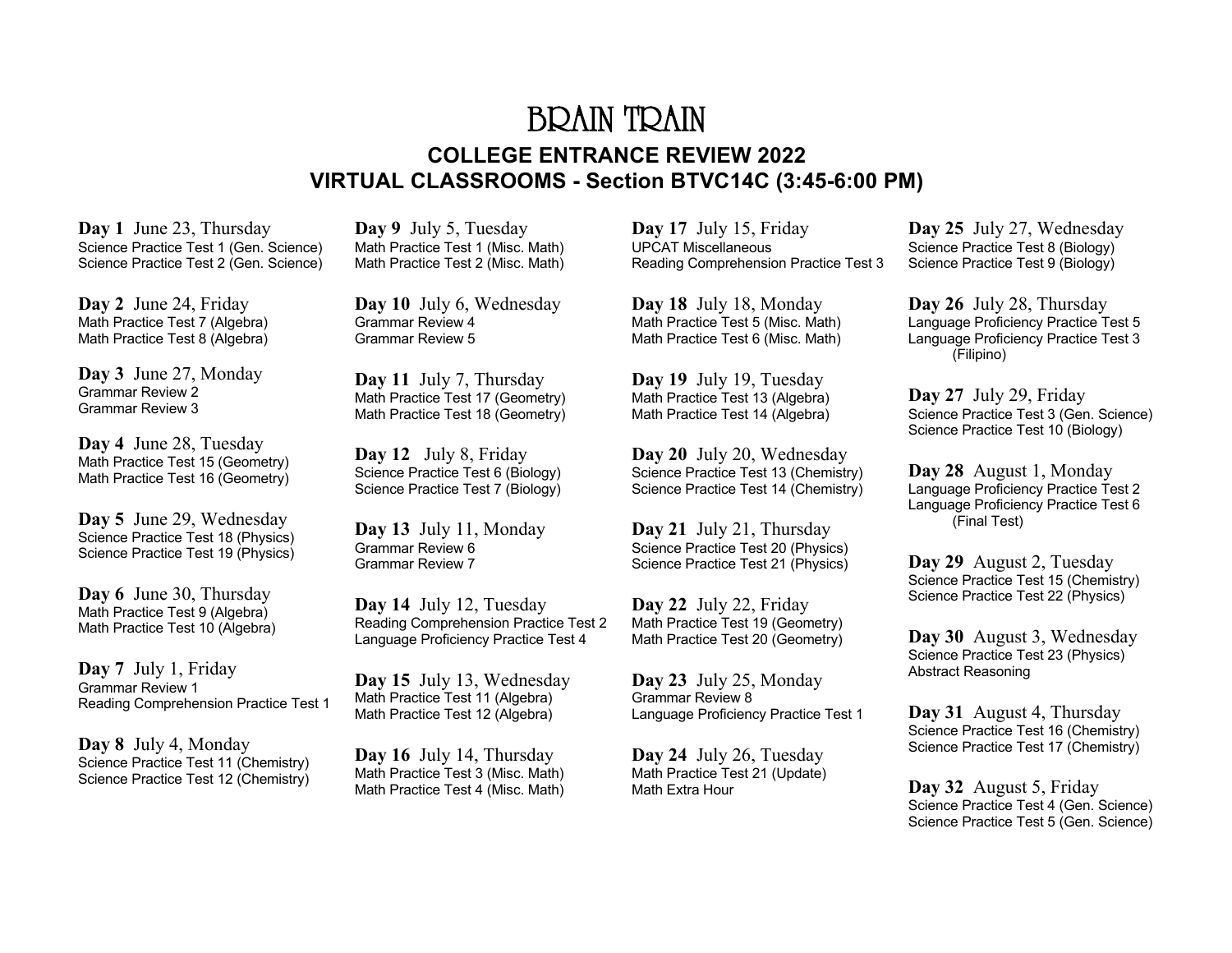# BRAIN TRAIN **COLLEGE ENTRANCE REVIEW 2022 VIRTUAL CLASSROOMS - Section BTVC14C (3:45-6:00 PM)**

**Day 1** June 23, Thursday Science Practice Test 1 (Gen. Science) Science Practice Test 2 (Gen. Science)

**Day 2** June 24, Friday Math Practice Test 7 (Algebra) Math Practice Test 8 (Algebra)

**Day 3** June 27, Monday Grammar Review 2 Grammar Review 3

**Day 4** June 28, Tuesday Math Practice Test 15 (Geometry) Math Practice Test 16 (Geometry)

**Day 5** June 29, Wednesday Science Practice Test 18 (Physics) Science Practice Test 19 (Physics)

**Day 6** June 30, Thursday Math Practice Test 9 (Algebra) Math Practice Test 10 (Algebra)

**Day 7** July 1, Friday Grammar Review 1 Reading Comprehension Practice Test 1

**Day 8** July 4, Monday Science Practice Test 11 (Chemistry) Science Practice Test 12 (Chemistry)

**Day 9** July 5, Tuesday Math Practice Test 1 (Misc. Math) Math Practice Test 2 (Misc. Math)

**Day 10** July 6, Wednesday Grammar Review 4 Grammar Review 5

**Day 11** July 7, Thursday Math Practice Test 17 (Geometry) Math Practice Test 18 (Geometry)

**Day 12** July 8, Friday Science Practice Test 6 (Biology) Science Practice Test 7 (Biology)

**Day 13** July 11, Monday Grammar Review 6 Grammar Review 7

**Day 14** July 12, Tuesday Reading Comprehension Practice Test 2 Language Proficiency Practice Test 4

**Day 15** July 13, Wednesday Math Practice Test 11 (Algebra) Math Practice Test 12 (Algebra)

**Day 16** July 14, Thursday Math Practice Test 3 (Misc. Math) Math Practice Test 4 (Misc. Math) **Day 17** July 15, Friday UPCAT Miscellaneous Reading Comprehension Practice Test 3

**Day 18** July 18, Monday Math Practice Test 5 (Misc. Math) Math Practice Test 6 (Misc. Math)

**Day 19** July 19, Tuesday Math Practice Test 13 (Algebra) Math Practice Test 14 (Algebra)

**Day 20** July 20, Wednesday Science Practice Test 13 (Chemistry) Science Practice Test 14 (Chemistry)

**Day 21** July 21, Thursday Science Practice Test 20 (Physics) Science Practice Test 21 (Physics)

**Day 22** July 22, Friday Math Practice Test 19 (Geometry) Math Practice Test 20 (Geometry)

**Day 23** July 25, Monday Grammar Review 8 Language Proficiency Practice Test 1

**Day 24** July 26, Tuesday Math Practice Test 21 (Update) Math Extra Hour

**Day 25** July 27, Wednesday Science Practice Test 8 (Biology) Science Practice Test 9 (Biology)

**Day 26** July 28, Thursday Language Proficiency Practice Test 5 Language Proficiency Practice Test 3 (Filipino)

**Day 27** July 29, Friday Science Practice Test 3 (Gen. Science) Science Practice Test 10 (Biology)

**Day 28** August 1, Monday Language Proficiency Practice Test 2 Language Proficiency Practice Test 6 (Final Test)

**Day 29** August 2, Tuesday Science Practice Test 15 (Chemistry) Science Practice Test 22 (Physics)

**Day 30** August 3, Wednesday Science Practice Test 23 (Physics) Abstract Reasoning

**Day 31** August 4, Thursday Science Practice Test 16 (Chemistry) Science Practice Test 17 (Chemistry)

**Day 32** August 5, Friday Science Practice Test 4 (Gen. Science) Science Practice Test 5 (Gen. Science)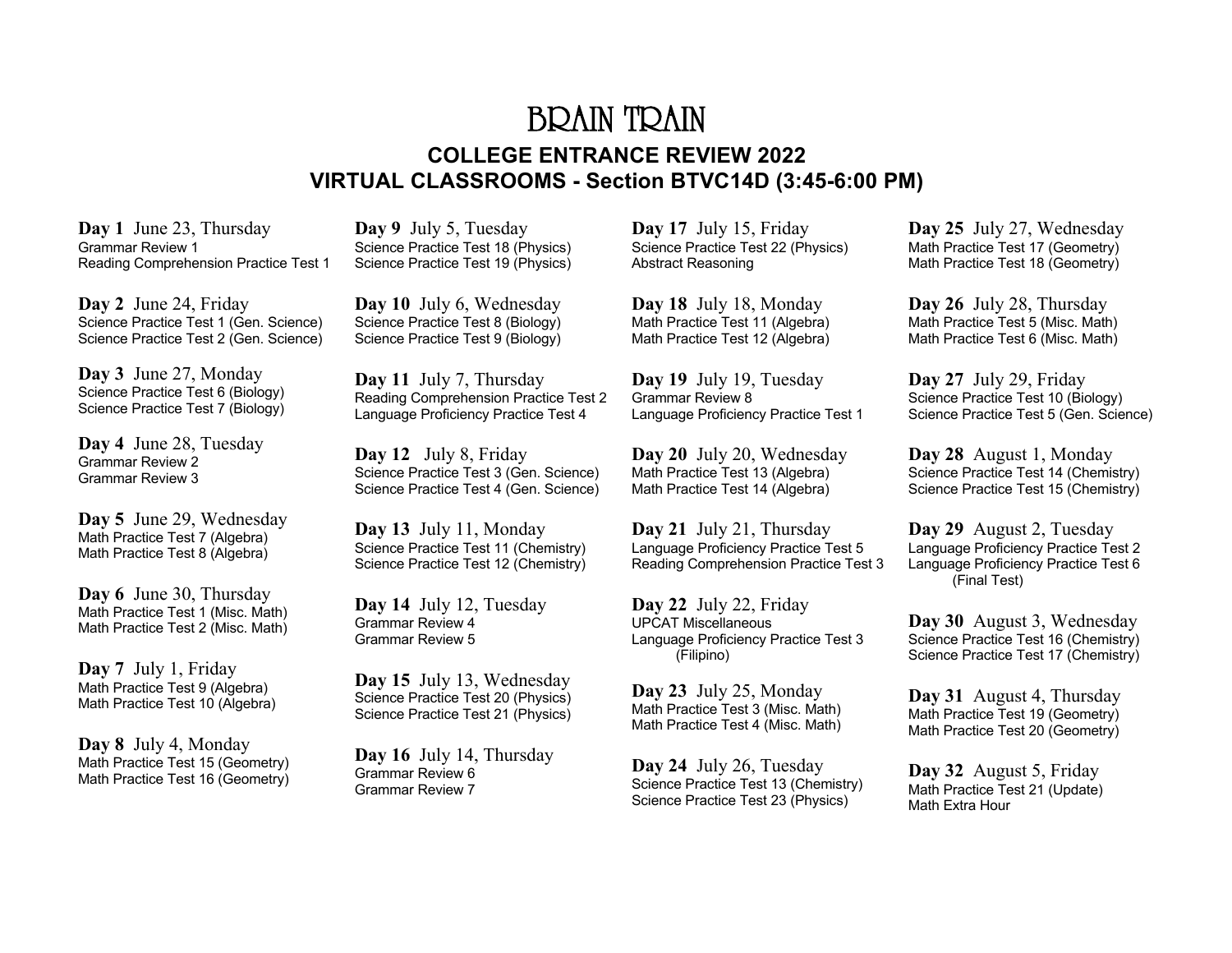# BRAIN TRAIN **COLLEGE ENTRANCE REVIEW 2022 VIRTUAL CLASSROOMS - Section BTVC14D (3:45-6:00 PM)**

**Day 1** June 23, Thursday Grammar Review 1 Reading Comprehension Practice Test 1

**Day 2** June 24, Friday Science Practice Test 1 (Gen. Science) Science Practice Test 2 (Gen. Science)

**Day 3** June 27, Monday Science Practice Test 6 (Biology) Science Practice Test 7 (Biology)

**Day 4** June 28, Tuesday Grammar Review 2 Grammar Review 3

**Day 5** June 29, Wednesday Math Practice Test 7 (Algebra) Math Practice Test 8 (Algebra)

**Day 6** June 30, Thursday Math Practice Test 1 (Misc. Math) Math Practice Test 2 (Misc. Math)

**Day 7** July 1, Friday Math Practice Test 9 (Algebra) Math Practice Test 10 (Algebra)

**Day 8** July 4, Monday Math Practice Test 15 (Geometry) Math Practice Test 16 (Geometry)

**Day 9** July 5, Tuesday Science Practice Test 18 (Physics) Science Practice Test 19 (Physics)

**Day 10** July 6, Wednesday Science Practice Test 8 (Biology) Science Practice Test 9 (Biology)

**Day 11** July 7, Thursday Reading Comprehension Practice Test 2 Language Proficiency Practice Test 4

**Day 12** July 8, Friday Science Practice Test 3 (Gen. Science) Science Practice Test 4 (Gen. Science)

**Day 13** July 11, Monday Science Practice Test 11 (Chemistry) Science Practice Test 12 (Chemistry)

**Day 14** July 12, Tuesday Grammar Review 4 Grammar Review 5

**Day 15** July 13, Wednesday Science Practice Test 20 (Physics) Science Practice Test 21 (Physics)

**Day 16** July 14, Thursday Grammar Review 6 Grammar Review 7

**Day 17** July 15, Friday Science Practice Test 22 (Physics) Abstract Reasoning

**Day 18** July 18, Monday Math Practice Test 11 (Algebra) Math Practice Test 12 (Algebra)

**Day 19** July 19, Tuesday Grammar Review 8 Language Proficiency Practice Test 1

**Day 20** July 20, Wednesday Math Practice Test 13 (Algebra) Math Practice Test 14 (Algebra)

**Day 21** July 21, Thursday Language Proficiency Practice Test 5 Reading Comprehension Practice Test 3

**Day 22** July 22, Friday UPCAT Miscellaneous Language Proficiency Practice Test 3 (Filipino)

**Day 23** July 25, Monday Math Practice Test 3 (Misc. Math) Math Practice Test 4 (Misc. Math)

**Day 24** July 26, Tuesday Science Practice Test 13 (Chemistry) Science Practice Test 23 (Physics)

**Day 25** July 27, Wednesday Math Practice Test 17 (Geometry) Math Practice Test 18 (Geometry)

**Day 26** July 28, Thursday Math Practice Test 5 (Misc. Math) Math Practice Test 6 (Misc. Math)

**Day 27** July 29, Friday Science Practice Test 10 (Biology) Science Practice Test 5 (Gen. Science)

**Day 28** August 1, Monday Science Practice Test 14 (Chemistry) Science Practice Test 15 (Chemistry)

**Day 29** August 2, Tuesday Language Proficiency Practice Test 2 Language Proficiency Practice Test 6 (Final Test)

**Day 30** August 3, Wednesday Science Practice Test 16 (Chemistry) Science Practice Test 17 (Chemistry)

**Day 31** August 4, Thursday Math Practice Test 19 (Geometry) Math Practice Test 20 (Geometry)

**Day 32** August 5, Friday Math Practice Test 21 (Update) Math Extra Hour